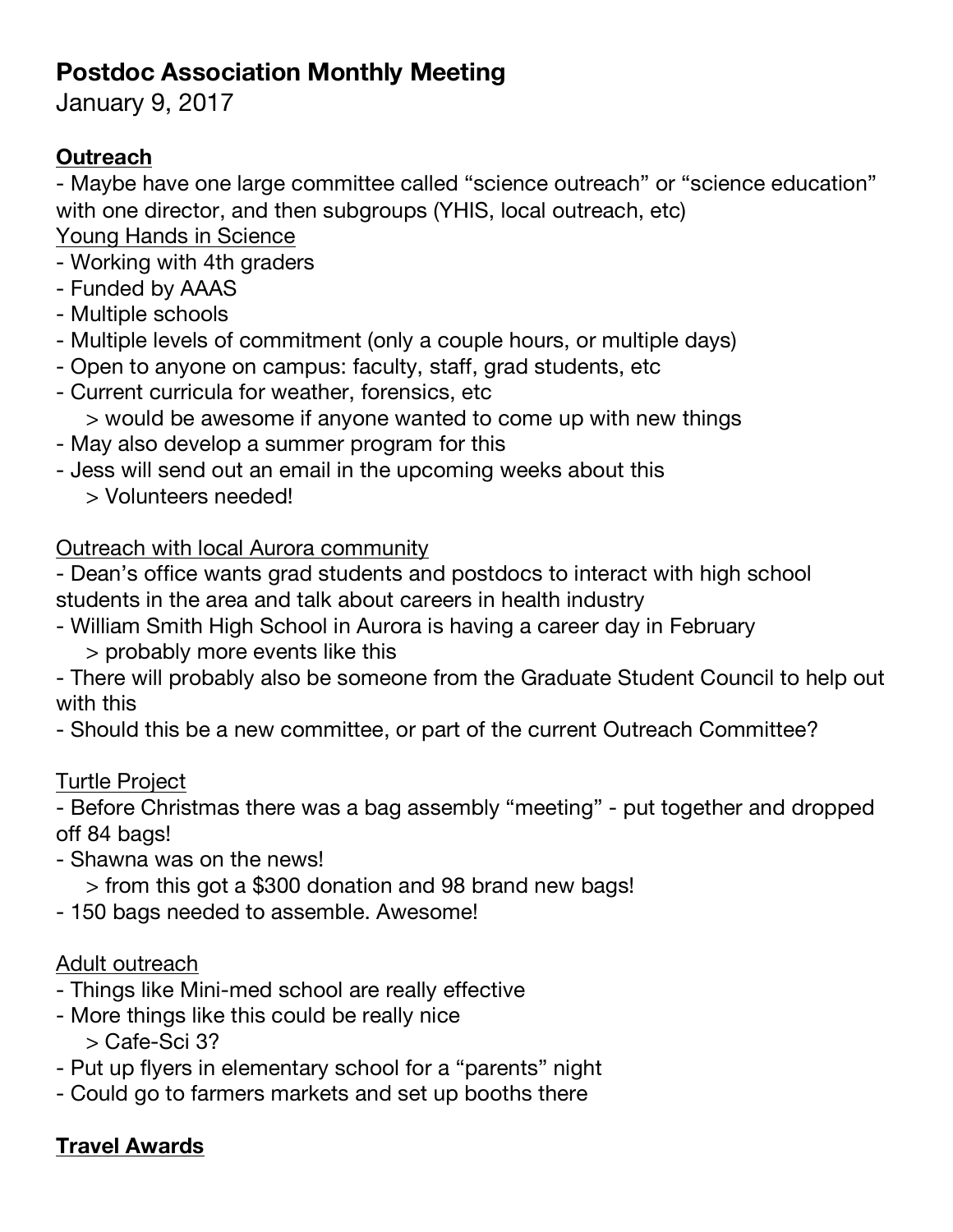# **Postdoc Association Monthly Meeting**

January 9, 2017

# **Outreach**

- Maybe have one large committee called "science outreach" or "science education" with one director, and then subgroups (YHIS, local outreach, etc) Young Hands in Science

- Working with 4th graders
- Funded by AAAS
- Multiple schools
- Multiple levels of commitment (only a couple hours, or multiple days)
- Open to anyone on campus: faculty, staff, grad students, etc
- Current curricula for weather, forensics, etc
	- > would be awesome if anyone wanted to come up with new things
- May also develop a summer program for this
- Jess will send out an email in the upcoming weeks about this
	- > Volunteers needed!

## Outreach with local Aurora community

- Dean's office wants grad students and postdocs to interact with high school students in the area and talk about careers in health industry
- William Smith High School in Aurora is having a career day in February
	- > probably more events like this
- There will probably also be someone from the Graduate Student Council to help out with this
- Should this be a new committee, or part of the current Outreach Committee?

## Turtle Project

- Before Christmas there was a bag assembly "meeting" - put together and dropped off 84 bags!

- Shawna was on the news!
	- > from this got a \$300 donation and 98 brand new bags!
- 150 bags needed to assemble. Awesome!

## Adult outreach

- Things like Mini-med school are really effective
- More things like this could be really nice

> Cafe-Sci 3?

- Put up flyers in elementary school for a "parents" night
- Could go to farmers markets and set up booths there

# **Travel Awards**